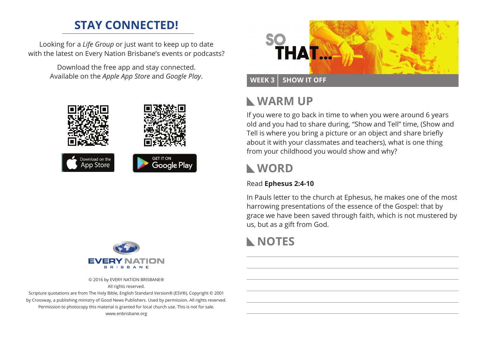# **STAY CONNECTED!**

Looking for a *Life Group* or just want to keep up to date with the latest on Every Nation Brisbane's events or podcasts?

> Download the free app and stay connected. Available on the *Apple App Store* and *Google Play*.





© 2016 by EVERY NATION BRISBANE® All rights reserved.

Scripture quotations are from The Holy Bible, English Standard Version® (ESV®), Copyright © 2001 by Crossway, a publishing ministry of Good News Publishers. Used by permission. All rights reserved. Permission to photocopy this material is granted for local church use. This is not for sale. www.enbrisbane.org



#### WEEK 3 SHOW IT OFF

# **Warm Up**

If you were to go back in time to when you were around 6 years old and you had to share during, "Show and Tell" time, (Show and Tell is where you bring a picture or an object and share briefly about it with your classmates and teachers), what is one thing from your childhood you would show and why?

## **WORD**

#### Read **Ephesus 2:4-10**

In Pauls letter to the church at Ephesus, he makes one of the most harrowing presentations of the essence of the Gospel: that by grace we have been saved through faith, which is not mustered by us, but as a gift from God.